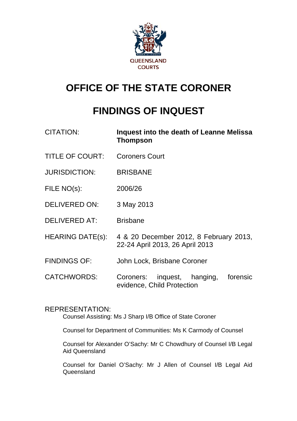

# **OFFICE OF THE STATE CORONER**

# **FINDINGS OF INQUEST**

| <b>CITATION:</b>        | Inquest into the death of Leanne Melissa<br><b>Thompson</b>               |
|-------------------------|---------------------------------------------------------------------------|
| <b>TITLE OF COURT:</b>  | <b>Coroners Court</b>                                                     |
| <b>JURISDICTION:</b>    | <b>BRISBANE</b>                                                           |
| FILE NO(s):             | 2006/26                                                                   |
| <b>DELIVERED ON:</b>    | 3 May 2013                                                                |
| <b>DELIVERED AT:</b>    | <b>Brisbane</b>                                                           |
| <b>HEARING DATE(s):</b> | 4 & 20 December 2012, 8 February 2013,<br>22-24 April 2013, 26 April 2013 |
| <b>FINDINGS OF:</b>     | John Lock, Brisbane Coroner                                               |
| <b>CATCHWORDS:</b>      | inquest, hanging,<br>forensic<br>Coroners:<br>evidence, Child Protection  |

# REPRESENTATION:

Counsel Assisting: Ms J Sharp I/B Office of State Coroner

Counsel for Department of Communities: Ms K Carmody of Counsel

Counsel for Alexander O'Sachy: Mr C Chowdhury of Counsel I/B Legal Aid Queensland

Counsel for Daniel O'Sachy: Mr J Allen of Counsel I/B Legal Aid **Queensland**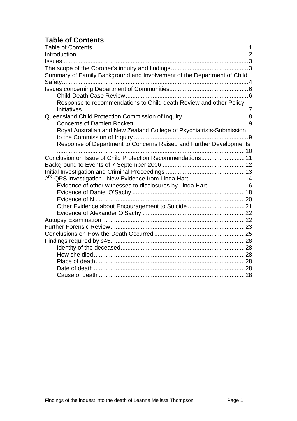# <span id="page-1-0"></span>**Table of Contents**

| Summary of Family Background and Involvement of the Department of Child |  |
|-------------------------------------------------------------------------|--|
|                                                                         |  |
|                                                                         |  |
|                                                                         |  |
| Response to recommendations to Child death Review and other Policy      |  |
|                                                                         |  |
|                                                                         |  |
|                                                                         |  |
| Royal Australian and New Zealand College of Psychiatrists-Submission    |  |
|                                                                         |  |
| Response of Department to Concerns Raised and Further Developments      |  |
| Conclusion on Issue of Child Protection Recommendations11               |  |
|                                                                         |  |
|                                                                         |  |
| 2 <sup>nd</sup> QPS investigation -New Evidence from Linda Hart 14      |  |
| Evidence of other witnesses to disclosures by Linda Hart 16             |  |
|                                                                         |  |
|                                                                         |  |
| Other Evidence about Encouragement to Suicide 21                        |  |
|                                                                         |  |
|                                                                         |  |
|                                                                         |  |
|                                                                         |  |
|                                                                         |  |
|                                                                         |  |
|                                                                         |  |
|                                                                         |  |
|                                                                         |  |
|                                                                         |  |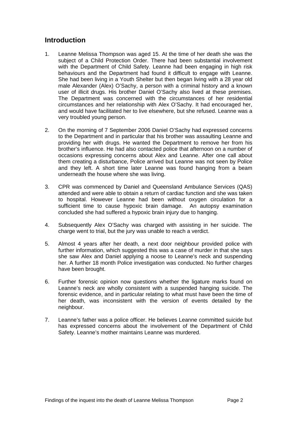# <span id="page-2-0"></span>**Introduction**

- 1. Leanne Melissa Thompson was aged 15. At the time of her death she was the subject of a Child Protection Order. There had been substantial involvement with the Department of Child Safety. Leanne had been engaging in high risk behaviours and the Department had found it difficult to engage with Leanne. She had been living in a Youth Shelter but then began living with a 28 year old male Alexander (Alex) O'Sachy, a person with a criminal history and a known user of illicit drugs. His brother Daniel O'Sachy also lived at these premises. The Department was concerned with the circumstances of her residential circumstances and her relationship with Alex O'Sachy. It had encouraged her, and would have facilitated her to live elsewhere, but she refused. Leanne was a very troubled young person.
- 2. On the morning of 7 September 2006 Daniel O'Sachy had expressed concerns to the Department and in particular that his brother was assaulting Leanne and providing her with drugs. He wanted the Department to remove her from his brother's influence. He had also contacted police that afternoon on a number of occasions expressing concerns about Alex and Leanne. After one call about them creating a disturbance, Police arrived but Leanne was not seen by Police and they left. A short time later Leanne was found hanging from a beam underneath the house where she was living.
- 3. CPR was commenced by Daniel and Queensland Ambulance Services (QAS) attended and were able to obtain a return of cardiac function and she was taken to hospital. However Leanne had been without oxygen circulation for a sufficient time to cause hypoxic brain damage. An autopsy examination concluded she had suffered a hypoxic brain injury due to hanging.
- 4. Subsequently Alex O'Sachy was charged with assisting in her suicide. The charge went to trial, but the jury was unable to reach a verdict.
- 5. Almost 4 years after her death, a next door neighbour provided police with further information, which suggested this was a case of murder in that she says she saw Alex and Daniel applying a noose to Leanne's neck and suspending her. A further 18 month Police investigation was conducted. No further charges have been brought.
- 6. Further forensic opinion now questions whether the ligature marks found on Leanne's neck are wholly consistent with a suspended hanging suicide. The forensic evidence, and in particular relating to what must have been the time of her death, was inconsistent with the version of events detailed by the neighbour.
- 7. Leanne's father was a police officer. He believes Leanne committed suicide but has expressed concerns about the involvement of the Department of Child Safety. Leanne's mother maintains Leanne was murdered.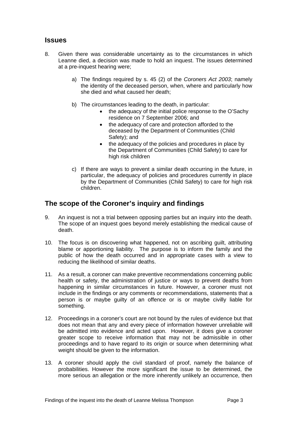# <span id="page-3-0"></span>**Issues**

- 8. Given there was considerable uncertainty as to the circumstances in which Leanne died, a decision was made to hold an inquest. The issues determined at a pre-inquest hearing were;
	- a) The findings required by s. 45 (2) of the *Coroners Act 2003*; namely the identity of the deceased person, when, where and particularly how she died and what caused her death;
	- b) The circumstances leading to the death, in particular:
		- the adequacy of the initial police response to the O'Sachy residence on 7 September 2006; and
		- the adequacy of care and protection afforded to the deceased by the Department of Communities (Child Safety); and
		- the adequacy of the policies and procedures in place by the Department of Communities (Child Safety) to care for high risk children
	- c) If there are ways to prevent a similar death occurring in the future, in particular, the adequacy of policies and procedures currently in place by the Department of Communities (Child Safety) to care for high risk children.

# **The scope of the Coroner's inquiry and findings**

- 9. An inquest is not a trial between opposing parties but an inquiry into the death. The scope of an inquest goes beyond merely establishing the medical cause of death.
- 10. The focus is on discovering what happened, not on ascribing guilt, attributing blame or apportioning liability. The purpose is to inform the family and the public of how the death occurred and in appropriate cases with a view to reducing the likelihood of similar deaths.
- 11. As a result, a coroner can make preventive recommendations concerning public health or safety, the administration of justice or ways to prevent deaths from happening in similar circumstances in future. However, a coroner must not include in the findings or any comments or recommendations, statements that a person is or maybe guilty of an offence or is or maybe civilly liable for something.
- 12. Proceedings in a coroner's court are not bound by the rules of evidence but that does not mean that any and every piece of information however unreliable will be admitted into evidence and acted upon. However, it does give a coroner greater scope to receive information that may not be admissible in other proceedings and to have regard to its origin or source when determining what weight should be given to the information.
- 13. A coroner should apply the civil standard of proof, namely the balance of probabilities. However the more significant the issue to be determined, the more serious an allegation or the more inherently unlikely an occurrence, then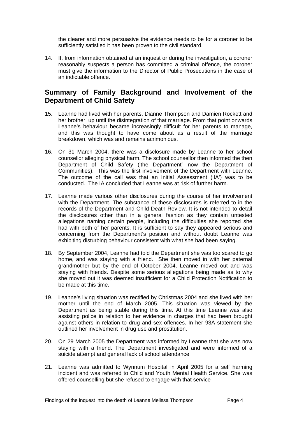<span id="page-4-0"></span>the clearer and more persuasive the evidence needs to be for a coroner to be sufficiently satisfied it has been proven to the civil standard.

14. If, from information obtained at an inquest or during the investigation, a coroner reasonably suspects a person has committed a criminal offence, the coroner must give the information to the Director of Public Prosecutions in the case of an indictable offence.

# **Summary of Family Background and Involvement of the Department of Child Safety**

- 15. Leanne had lived with her parents, Dianne Thompson and Damien Rockett and her brother, up until the disintegration of that marriage. From that point onwards Leanne's behaviour became increasingly difficult for her parents to manage, and this was thought to have come about as a result of the marriage breakdown, which was and remains acrimonious.
- 16. On 31 March 2004, there was a disclosure made by Leanne to her school counsellor alleging physical harm. The school counsellor then informed the then Department of Child Safety ('the Department" now the Department of Communities). This was the first involvement of the Department with Leanne. The outcome of the call was that an Initial Assessment ('IA') was to be conducted. The IA concluded that Leanne was at risk of further harm.
- 17. Leanne made various other disclosures during the course of her involvement with the Department. The substance of these disclosures is referred to in the records of the Department and Child Death Review. It is not intended to detail the disclosures other than in a general fashion as they contain untested allegations naming certain people, including the difficulties she reported she had with both of her parents. It is sufficient to say they appeared serious and concerning from the Department's position and without doubt Leanne was exhibiting disturbing behaviour consistent with what she had been saying.
- 18. By September 2004, Leanne had told the Department she was too scared to go home, and was staying with a friend. She then moved in with her paternal grandmother but by the end of October 2004, Leanne moved out and was staying with friends. Despite some serious allegations being made as to why she moved out it was deemed insufficient for a Child Protection Notification to be made at this time.
- 19. Leanne's living situation was rectified by Christmas 2004 and she lived with her mother until the end of March 2005. This situation was viewed by the Department as being stable during this time. At this time Leanne was also assisting police in relation to her evidence in charges that had been brought against others in relation to drug and sex offences. In her 93A statement she outlined her involvement in drug use and prostitution.
- 20. On 29 March 2005 the Department was informed by Leanne that she was now staying with a friend. The Department investigated and were informed of a suicide attempt and general lack of school attendance.
- 21. Leanne was admitted to Wynnum Hospital in April 2005 for a self harming incident and was referred to Child and Youth Mental Health Service. She was offered counselling but she refused to engage with that service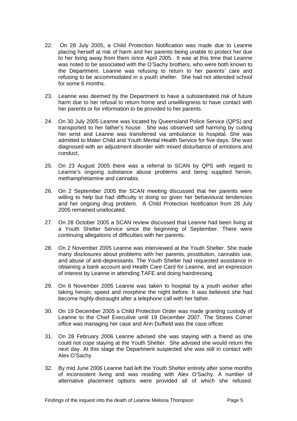- 22. On 28 July 2005, a Child Protection Notification was made due to Leanne placing herself at risk of harm and her parents being unable to protect her due to her living away from them since April 2005. It was at this time that Leanne was noted to be associated with the O'Sachy brothers, who were both known to the Department. Leanne was refusing to return to her parents' care and refusing to be accommodated in a youth shelter. She had not attended school for some 6 months.
- 23. Leanne was deemed by the Department to have a substantiated risk of future harm due to her refusal to return home and unwillingness to have contact with her parents or for information to be provided to her parents.
- 24. On 30 July 2005 Leanne was located by Queensland Police Service (QPS) and transported to her father's house. She was observed self harming by cutting her wrist and Leanne was transferred via ambulance to hospital. She was admitted to Mater Child and Youth Mental Health Service for five days. She was diagnosed with an adjustment disorder with mixed disturbance of emotions and conduct.
- 25. On 23 August 2005 there was a referral to SCAN by QPS with regard to Leanne's ongoing substance abuse problems and being supplied heroin, methamphetamine and cannabis.
- 26. On 2 September 2005 the SCAN meeting discussed that her parents were willing to help but had difficulty in doing so given her behavioural tendencies and her ongoing drug problem. A Child Protection Notification from 28 July 2005 remained unallocated.
- 27. On 28 October 2005 a SCAN review discussed that Leanne had been living at a Youth Shelter Service since the beginning of September. There were continuing allegations of difficulties with her parents.
- 28. On 2 November 2005 Leanne was interviewed at the Youth Shelter. She made many disclosures about problems with her parents, prostitution, cannabis use, and abuse of anti-depressants. The Youth Shelter had requested assistance in obtaining a bank account and Health Care Card for Leanne, and an expression of interest by Leanne in attending TAFE and doing hairdressing.
- 29. On 6 November 2005 Leanne was taken to hospital by a youth worker after taking heroin, speed and morphine the night before. It was believed she had become highly distraught after a telephone call with her father.
- 30. On 19 December 2005 a Child Protection Order was made granting custody of Leanne to the Chief Executive until 19 December 2007. The Stones Corner office was managing her case and Ann Duffield was the case officer.
- 31. On 28 February 2006 Leanne advised she was staying with a friend as she could not cope staying at the Youth Shelter. She advised she would return the next day. At this stage the Department suspected she was still in contact with Alex O'Sachy.
- 32. By mid June 2006 Leanne had left the Youth Shelter entirely after some months of inconsistent living and was residing with Alex O'Sachy. A number of alternative placement options were provided all of which she refused.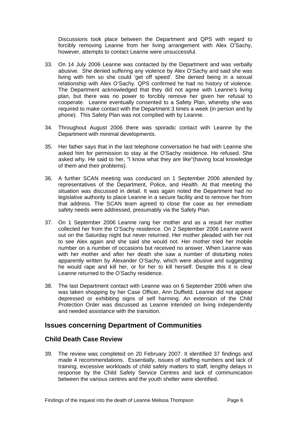<span id="page-6-0"></span>Discussions took place between the Department and QPS with regard to forcibly removing Leanne from her living arrangement with Alex O'Sachy, however, attempts to contact Leanne were unsuccessful.

- 33. On 14 July 2006 Leanne was contacted by the Department and was verbally abusive. She denied suffering any violence by Alex O'Sachy and said she was living with him so she could 'get off speed'. She denied being in a sexual relationship with Alex O'Sachy. QPS confirmed he had no history of violence. The Department acknowledged that they did not agree with Leanne's living plan, but there was no power to forcibly remove her given her refusal to cooperate. Leanne eventually consented to a Safety Plan, whereby she was required to make contact with the Department 3 times a week (in person and by phone). This Safety Plan was not complied with by Leanne.
- 34. Throughout August 2006 there was sporadic contact with Leanne by the Department with minimal developments.
- 35. Her father says that in the last telephone conversation he had with Leanne she asked him for permission to stay at the O'Sachy residence. He refused. She asked why. He said to her, "I know what they are like"(having local knowledge of them and their problems).
- 36. A further SCAN meeting was conducted on 1 September 2006 attended by representatives of the Department, Police, and Health. At that meeting the situation was discussed in detail. It was again noted the Department had no legislative authority to place Leanne in a secure facility and to remove her from that address. The SCAN team agreed to close the case as her immediate safety needs were addressed, presumably via the Safety Plan.
- 37. On 1 September 2006 Leanne rang her mother and as a result her mother collected her from the O'Sachy residence. On 2 September 2006 Leanne went out on the Saturday night but never returned. Her mother pleaded with her not to see Alex again and she said she would not. Her mother tried her mobile number on a number of occasions but received no answer. When Leanne was with her mother and after her death she saw a number of disturbing notes apparently written by Alexander O'Sachy, which were abusive and suggesting he would rape and kill her, or for her to kill herself. Despite this it is clear Leanne returned to the O'Sachy residence.
- 38. The last Department contact with Leanne was on 6 September 2006 when she was taken shopping by her Case Officer, Ann Duffield. Leanne did not appear depressed or exhibiting signs of self harming. An extension of the Child Protection Order was discussed as Leanne intended on living independently and needed assistance with the transition.

## **Issues concerning Department of Communities**

## **Child Death Case Review**

39. The review was completed on 20 February 2007. It identified 37 findings and made 4 recommendations. Essentially, issues of staffing numbers and lack of training, excessive workloads of child safety matters to staff, lengthy delays in response by the Child Safety Service Centres and lack of communication between the various centres and the youth shelter were identified.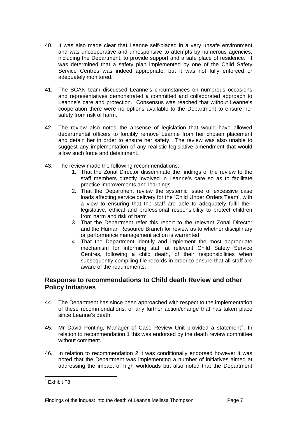- <span id="page-7-0"></span>40. It was also made clear that Leanne self-placed in a very unsafe environment and was uncooperative and unresponsive to attempts by numerous agencies, including the Department, to provide support and a safe place of residence. It was determined that a safety plan implemented by one of the Child Safety Service Centres was indeed appropriate, but it was not fully enforced or adequately monitored.
- 41. The SCAN team discussed Leanne's circumstances on numerous occasions and representatives demonstrated a committed and collaborated approach to Leanne's care and protection. Consensus was reached that without Leanne's cooperation there were no options available to the Department to ensure her safety from risk of harm.
- 42. The review also noted the absence of legislation that would have allowed departmental officers to forcibly remove Leanne from her chosen placement and detain her in order to ensure her safety. The review was also unable to suggest any implementation of any realistic legislative amendment that would allow such force and detainment.
- 43. The review made the following recommendations:
	- 1. That the Zonal Director disseminate the findings of the review to the staff members directly involved in Leanne's care so as to facilitate practice improvements and learnings
	- 2. That the Department review the systemic issue of excessive case loads affecting service delivery for the 'Child Under Orders Team', with a view to ensuring that the staff are able to adequately fulfil their legislative, ethical and professional responsibility to protect children from harm and risk of harm
	- 3. That the Department refer this report to the relevant Zonal Director and the Human Resource Branch for review as to whether disciplinary or performance management action is warranted
	- 4. That the Department identify and implement the most appropriate mechanism for informing staff at relevant Child Safety Service Centres, following a child death, of their responsibilities when subsequently compiling file records in order to ensure that all staff are aware of the requirements.

## **Response to recommendations to Child death Review and other Policy Initiatives**

- 44. The Department has since been approached with respect to the implementation of these recommendations, or any further action/change that has taken place since Leanne's death.
- 45. Mr David Ponting, Manager of Case Review Unit provided a statement<sup>[1](#page-7-1)</sup>. In relation to recommendation 1 this was endorsed by the death review committee without comment.
- 46. In relation to recommendation 2 it was conditionally endorsed however it was noted that the Department was implementing a number of initiatives aimed at addressing the impact of high workloads but also noted that the Department

<span id="page-7-1"></span> 1 Exhibit F8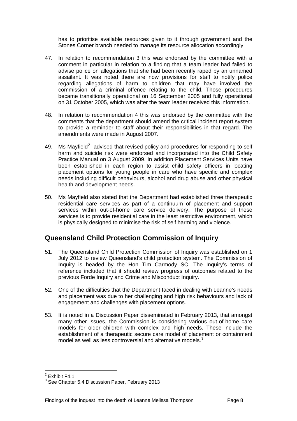<span id="page-8-0"></span>has to prioritise available resources given to it through government and the Stones Corner branch needed to manage its resource allocation accordingly.

- 47. In relation to recommendation 3 this was endorsed by the committee with a comment in particular in relation to a finding that a team leader had failed to advise police on allegations that she had been recently raped by an unnamed assailant. It was noted there are now provisions for staff to notify police regarding allegations of harm to children that may have involved the commission of a criminal offence relating to the child. Those procedures became transitionally operational on 16 September 2005 and fully operational on 31 October 2005, which was after the team leader received this information.
- 48. In relation to recommendation 4 this was endorsed by the committee with the comments that the department should amend the critical incident report system to provide a reminder to staff about their responsibilities in that regard. The amendments were made in August 2007.
- 49. Ms Mayfield<sup>[2](#page-8-1)</sup> advised that revised policy and procedures for responding to self harm and suicide risk were endorsed and incorporated into the Child Safety Practice Manual on 3 August 2009. In addition Placement Services Units have been established in each region to assist child safety officers in locating placement options for young people in care who have specific and complex needs including difficult behaviours, alcohol and drug abuse and other physical health and development needs.
- 50. Ms Mayfield also stated that the Department had established three therapeutic residential care services as part of a continuum of placement and support services within out-of-home care service delivery. The purpose of these services is to provide residential care in the least restrictive environment, which is physically designed to minimise the risk of self harming and violence.

# **Queensland Child Protection Commission of Inquiry**

- 51. The Queensland Child Protection Commission of Inquiry was established on 1 July 2012 to review Queensland's child protection system. The Commission of Inquiry is headed by the Hon Tim Carmody SC. The Inquiry's terms of reference included that it should review progress of outcomes related to the previous Forde Inquiry and Crime and Misconduct Inquiry.
- 52. One of the difficulties that the Department faced in dealing with Leanne's needs and placement was due to her challenging and high risk behaviours and lack of engagement and challenges with placement options.
- 53. It is noted in a Discussion Paper disseminated in February 2013, that amongst many other issues, the Commission is considering various out-of-home care models for older children with complex and high needs. These include the establishment of a therapeutic secure care model of placement or containment model as well as less controversial and alternative models.<sup>[3](#page-8-2)</sup>

l  $2$  Exhibit F4.1

<span id="page-8-2"></span><span id="page-8-1"></span> $3$  See Chapter 5.4 Discussion Paper, February 2013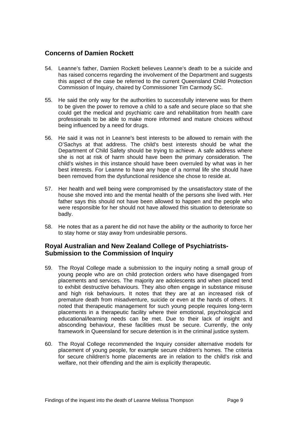#### <span id="page-9-0"></span>**Concerns of Damien Rockett**

- 54. Leanne's father, Damien Rockett believes Leanne's death to be a suicide and has raised concerns regarding the involvement of the Department and suggests this aspect of the case be referred to the current Queensland Child Protection Commission of Inquiry, chaired by Commissioner Tim Carmody SC.
- 55. He said the only way for the authorities to successfully intervene was for them to be given the power to remove a child to a safe and secure place so that she could get the medical and psychiatric care and rehabilitation from health care professionals to be able to make more informed and mature choices without being influenced by a need for drugs.
- 56. He said it was not in Leanne's best interests to be allowed to remain with the O'Sachys at that address. The child's best interests should be what the Department of Child Safety should be trying to achieve. A safe address where she is not at risk of harm should have been the primary consideration. The child's wishes in this instance should have been overruled by what was in her best interests. For Leanne to have any hope of a normal life she should have been removed from the dysfunctional residence she chose to reside at.
- 57. Her health and well being were compromised by the unsatisfactory state of the house she moved into and the mental health of the persons she lived with. Her father says this should not have been allowed to happen and the people who were responsible for her should not have allowed this situation to deteriorate so badly.
- 58. He notes that as a parent he did not have the ability or the authority to force her to stay home or stay away from undesirable persons.

## **Royal Australian and New Zealand College of Psychiatrists-Submission to the Commission of Inquiry**

- 59. The Royal College made a submission to the inquiry noting a small group of young people who are on child protection orders who have disengaged from placements and services. The majority are adolescents and when placed tend to exhibit destructive behaviours. They also often engage in substance misuse and high risk behaviours. It notes that they are at an increased risk of premature death from misadventure, suicide or even at the hands of others. It noted that therapeutic management for such young people requires long-term placements in a therapeutic facility where their emotional, psychological and educational/learning needs can be met. Due to their lack of insight and absconding behaviour, these facilities must be secure. Currently, the only framework in Queensland for secure detention is in the criminal justice system.
- 60. The Royal College recommended the Inquiry consider alternative models for placement of young people, for example secure children's homes. The criteria for secure children's home placements are in relation to the child's risk and welfare, not their offending and the aim is explicitly therapeutic.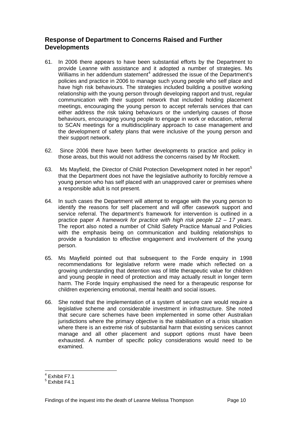# <span id="page-10-0"></span>**Response of Department to Concerns Raised and Further Developments**

- 61. In 2006 there appears to have been substantial efforts by the Department to provide Leanne with assistance and it adopted a number of strategies. Ms Williams in her addendum statement<sup>[4](#page-10-1)</sup> addressed the issue of the Department's policies and practice in 2006 to manage such young people who self place and have high risk behaviours. The strategies included building a positive working relationship with the young person through developing rapport and trust, regular communication with their support network that included holding placement meetings, encouraging the young person to accept referrals services that can either address the risk taking behaviours or the underlying causes of those behaviours, encouraging young people to engage in work or education, referral to SCAN meetings for a multidisciplinary approach to case management and the development of safety plans that were inclusive of the young person and their support network.
- 62. Since 2006 there have been further developments to practice and policy in those areas, but this would not address the concerns raised by Mr Rockett.
- 63. Ms Mayfield, the Director of Child Protection Development noted in her report<sup>[5](#page-10-2)</sup> that the Department does not have the legislative authority to forcibly remove a young person who has self placed with an unapproved carer or premises where a responsible adult is not present.
- 64. In such cases the Department will attempt to engage with the young person to identify the reasons for self placement and will offer casework support and service referral. The department's framework for intervention is outlined in a practice paper *A framework for practice with high risk people 12 – 17 years.* The report also noted a number of Child Safety Practice Manual and Policies with the emphasis being on communication and building relationships to provide a foundation to effective engagement and involvement of the young person.
- 65. Ms Mayfield pointed out that subsequent to the Forde enquiry in 1998 recommendations for legislative reform were made which reflected on a growing understanding that detention was of little therapeutic value for children and young people in need of protection and may actually result in longer term harm. The Forde Inquiry emphasised the need for a therapeutic response for children experiencing emotional, mental health and social issues.
- 66. She noted that the implementation of a system of secure care would require a legislative scheme and considerable investment in infrastructure. She noted that secure care schemes have been implemented in some other Australian jurisdictions where the primary objective is the stabilisation of a crisis situation where there is an extreme risk of substantial harm that existing services cannot manage and all other placement and support options must have been exhausted. A number of specific policy considerations would need to be examined.

l 4 Exhibit F7.1

<span id="page-10-2"></span><span id="page-10-1"></span><sup>5</sup> Exhibit F4.1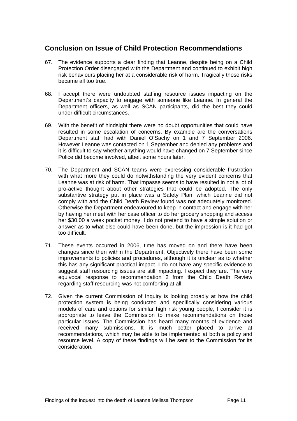# <span id="page-11-0"></span>**Conclusion on Issue of Child Protection Recommendations**

- 67. The evidence supports a clear finding that Leanne, despite being on a Child Protection Order disengaged with the Department and continued to exhibit high risk behaviours placing her at a considerable risk of harm. Tragically those risks became all too true.
- 68. I accept there were undoubted staffing resource issues impacting on the Department's capacity to engage with someone like Leanne. In general the Department officers, as well as SCAN participants, did the best they could under difficult circumstances.
- 69. With the benefit of hindsight there were no doubt opportunities that could have resulted in some escalation of concerns. By example are the conversations Department staff had with Daniel O'Sachy on 1 and 7 September 2006. However Leanne was contacted on 1 September and denied any problems and it is difficult to say whether anything would have changed on 7 September since Police did become involved, albeit some hours later.
- 70. The Department and SCAN teams were expressing considerable frustration with what more they could do notwithstanding the very evident concerns that Leanne was at risk of harm. That impasse seems to have resulted in not a lot of pro-active thought about other strategies that could be adopted. The only substantive strategy put in place was a Safety Plan, which Leanne did not comply with and the Child Death Review found was not adequately monitored. Otherwise the Department endeavoured to keep in contact and engage with her by having her meet with her case officer to do her grocery shopping and access her \$30.00 a week pocket money. I do not pretend to have a simple solution or answer as to what else could have been done, but the impression is it had got too difficult.
- 71. These events occurred in 2006, time has moved on and there have been changes since then within the Department. Objectively there have been some improvements to policies and procedures, although it is unclear as to whether this has any significant practical impact. I do not have any specific evidence to suggest staff resourcing issues are still impacting. I expect they are. The very equivocal response to recommendation 2 from the Child Death Review regarding staff resourcing was not comforting at all.
- 72. Given the current Commission of Inquiry is looking broadly at how the child protection system is being conducted and specifically considering various models of care and options for similar high risk young people, I consider it is appropriate to leave the Commission to make recommendations on those particular issues. The Commission has heard many months of evidence and received many submissions. It is much better placed to arrive at recommendations, which may be able to be implemented at both a policy and resource level. A copy of these findings will be sent to the Commission for its consideration.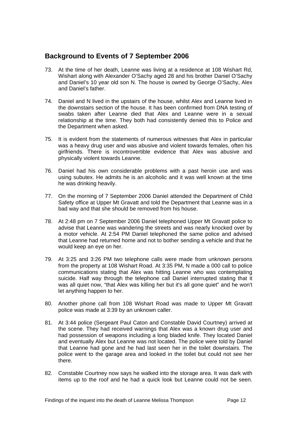# <span id="page-12-0"></span>**Background to Events of 7 September 2006**

- 73. At the time of her death, Leanne was living at a residence at 108 Wishart Rd, Wishart along with Alexander O'Sachy aged 28 and his brother Daniel O'Sachy and Daniel's 10 year old son N. The house is owned by George O'Sachy, Alex and Daniel's father.
- 74. Daniel and N lived in the upstairs of the house, whilst Alex and Leanne lived in the downstairs section of the house. It has been confirmed from DNA testing of swabs taken after Leanne died that Alex and Leanne were in a sexual relationship at the time. They both had consistently denied this to Police and the Department when asked.
- 75. It is evident from the statements of numerous witnesses that Alex in particular was a heavy drug user and was abusive and violent towards females, often his girlfriends. There is incontrovertible evidence that Alex was abusive and physically violent towards Leanne.
- 76. Daniel had his own considerable problems with a past heroin use and was using subutex. He admits he is an alcoholic and it was well known at the time he was drinking heavily.
- 77. On the morning of 7 September 2006 Daniel attended the Department of Child Safety office at Upper Mt Gravatt and told the Department that Leanne was in a bad way and that she should be removed from his house.
- 78. At 2:48 pm on 7 September 2006 Daniel telephoned Upper Mt Gravatt police to advise that Leanne was wandering the streets and was nearly knocked over by a motor vehicle. At 2:54 PM Daniel telephoned the same police and advised that Leanne had returned home and not to bother sending a vehicle and that he would keep an eye on her.
- 79. At 3:25 and 3:26 PM two telephone calls were made from unknown persons from the property at 108 Wishart Road. At 3:35 PM, N made a 000 call to police communications stating that Alex was hitting Leanne who was contemplating suicide. Half way through the telephone call Daniel interrupted stating that it was all quiet now, "that Alex was killing her but it's all gone quiet" and he won't let anything happen to her.
- 80. Another phone call from 108 Wishart Road was made to Upper Mt Gravatt police was made at 3:39 by an unknown caller.
- 81. At 3:44 police (Sergeant Paul Caton and Constable David Courtney) arrived at the scene. They had received warnings that Alex was a known drug user and had possession of weapons including a long bladed knife. They located Daniel and eventually Alex but Leanne was not located. The police were told by Daniel that Leanne had gone and he had last seen her in the toilet downstairs. The police went to the garage area and looked in the toilet but could not see her there.
- 82. Constable Courtney now says he walked into the storage area. It was dark with items up to the roof and he had a quick look but Leanne could not be seen.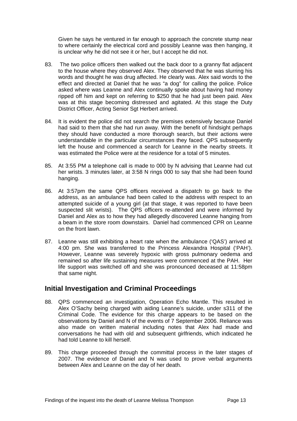<span id="page-13-0"></span>Given he says he ventured in far enough to approach the concrete stump near to where certainly the electrical cord and possibly Leanne was then hanging, it is unclear why he did not see it or her, but I accept he did not.

- 83. The two police officers then walked out the back door to a granny flat adjacent to the house where they observed Alex. They observed that he was slurring his words and thought he was drug affected. He clearly was. Alex said words to the effect and directed at Daniel that he was "a dog" for calling the police. Police asked where was Leanne and Alex continually spoke about having had money ripped off him and kept on referring to \$250 that he had just been paid. Alex was at this stage becoming distressed and agitated. At this stage the Duty District Officer, Acting Senior Sgt Herbert arrived.
- 84. It is evident the police did not search the premises extensively because Daniel had said to them that she had run away. With the benefit of hindsight perhaps they should have conducted a more thorough search, but their actions were understandable in the particular circumstances they faced. QPS subsequently left the house and commenced a search for Leanne in the nearby streets. It was estimated the Police were at the residence for a total of 5 minutes.
- 85. At 3:55 PM a telephone call is made to 000 by N advising that Leanne had cut her wrists. 3 minutes later, at 3:58 N rings 000 to say that she had been found hanging.
- 86. At 3:57pm the same QPS officers received a dispatch to go back to the address, as an ambulance had been called to the address with respect to an attempted suicide of a young girl (at that stage, it was reported to have been suspected slit wrists). The QPS officers re-attended and were informed by Daniel and Alex as to how they had allegedly discovered Leanne hanging from a beam in the store room downstairs. Daniel had commenced CPR on Leanne on the front lawn.
- 87. Leanne was still exhibiting a heart rate when the ambulance ('QAS') arrived at 4:00 pm. She was transferred to the Princess Alexandra Hospital ('PAH'). However, Leanne was severely hypoxic with gross pulmonary oedema and remained so after life sustaining measures were commenced at the PAH. Her life support was switched off and she was pronounced deceased at 11:58pm that same night.

# **Initial Investigation and Criminal Proceedings**

- 88. QPS commenced an investigation, Operation Echo Mantle. This resulted in Alex O'Sachy being charged with aiding Leanne's suicide, under s311 of the Criminal Code. The evidence for this charge appears to be based on the observations by Daniel and N of the events of 7 September 2006. Reliance was also made on written material including notes that Alex had made and conversations he had with old and subsequent girlfriends, which indicated he had told Leanne to kill herself.
- 89. This charge proceeded through the committal process in the later stages of 2007. The evidence of Daniel and N was used to prove verbal arguments between Alex and Leanne on the day of her death.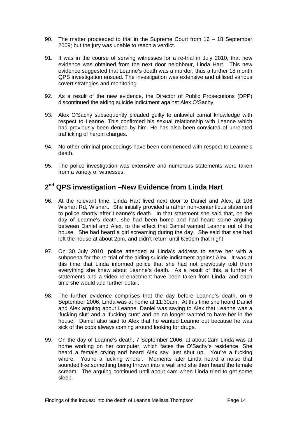- <span id="page-14-0"></span>90. The matter proceeded to trial in the Supreme Court from 16 – 18 September 2009; but the jury was unable to reach a verdict.
- 91. It was in the course of serving witnesses for a re-trial in July 2010, that new evidence was obtained from the next door neighbour, Linda Hart. This new evidence suggested that Leanne's death was a murder, thus a further 18 month QPS investigation ensued. The investigation was extensive and utilised various covert strategies and monitoring.
- 92. As a result of the new evidence, the Director of Public Prosecutions (DPP) discontinued the aiding suicide indictment against Alex O'Sachy.
- 93. Alex O'Sachy subsequently pleaded guilty to unlawful carnal knowledge with respect to Leanne. This confirmed his sexual relationship with Leanne which had previously been denied by him. He has also been convicted of unrelated trafficking of heroin charges.
- 94. No other criminal proceedings have been commenced with respect to Leanne's death.
- 95. The police investigation was extensive and numerous statements were taken from a variety of witnesses.

# **2nd QPS investigation –New Evidence from Linda Hart**

- 96. At the relevant time, Linda Hart lived next door to Daniel and Alex, at 106 Wishart Rd, Wishart. She initially provided a rather non-contentious statement to police shortly after Leanne's death. In that statement she said that, on the day of Leanne's death, she had been home and had heard some arguing between Daniel and Alex, to the effect that Daniel wanted Leanne out of the house. She had heard a girl screaming during the day. She said that she had left the house at about 2pm, and didn't return until 6:50pm that night.
- 97. On 30 July 2010, police attended at Linda's address to serve her with a subpoena for the re-trial of the aiding suicide indictment against Alex. It was at this time that Linda informed police that she had not previously told them everything she knew about Leanne's death. As a result of this, a further 4 statements and a video re-enactment have been taken from Linda, and each time she would add further detail.
- 98. The further evidence comprises that the day before Leanne's death, on 6 September 2006, Linda was at home at 11:30am. At this time she heard Daniel and Alex arguing about Leanne. Daniel was saying to Alex that Leanne was a 'fucking slut' and a 'fucking cunt' and he no longer wanted to have her in the house. Daniel also said to Alex that he wanted Leanne out because he was sick of the cops always coming around looking for drugs.
- 99. On the day of Leanne's death, 7 September 2006, at about 2am Linda was at home working on her computer, which faces the O'Sachy's residence. She heard a female crying and heard Alex say 'just shut up. You're a fucking whore. You're a fucking whore'. Moments later Linda heard a noise that sounded like something being thrown into a wall and she then heard the female scream. The arguing continued until about 4am when Linda tried to get some sleep.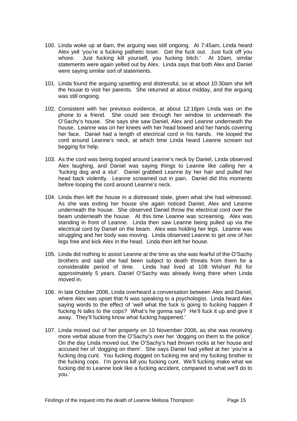- 100. Linda woke up at 6am, the arguing was still ongoing. At 7:45am, Linda heard Alex yell 'you're a fucking pathetic loser. Get the fuck out. Just fuck off you whore. Just fucking kill yourself, you fucking bitch.' At 10am, similar statements were again yelled out by Alex. Linda says that both Alex and Daniel were saying similar sort of statements.
- 101. Linda found the arguing upsetting and distressful, so at about 10:30am she left the house to visit her parents. She returned at about midday, and the arguing was still ongoing.
- 102. Consistent with her previous evidence, at about 12:16pm Linda was on the phone to a friend. She could see through her window to underneath the O'Sachy's house. She says she saw Daniel, Alex and Leanne underneath the house. Leanne was on her knees with her head bowed and her hands covering her face. Daniel had a length of electrical cord in his hands. He looped the cord around Leanne's neck, at which time Linda heard Leanne scream out begging for help.
- 103. As the cord was being looped around Leanne's neck by Daniel, Linda observed Alex laughing, and Daniel was saying things to Leanne like calling her a 'fucking dog and a slut'. Daniel grabbed Leanne by her hair and pulled her head back violently. Leanne screamed out in pain. Daniel did this moments before looping the cord around Leanne's neck.
- 104. Linda then left the house in a distressed state, given what she had witnessed. As she was exiting her house she again noticed Daniel, Alex and Leanne underneath the house. She observed Daniel throw the electrical cord over the beam underneath the house. At this time Leanne was screaming. Alex was standing in front of Leanne. Linda then saw Leanne being pulled up via the electrical cord by Daniel on the beam. Alex was holding her legs. Leanne was struggling and her body was moving. Linda observed Leanne to get one of her legs free and kick Alex in the head. Linda then left her house.
- 105. Linda did nothing to assist Leanne at the time as she was fearful of the O'Sachy brothers and said she had been subject to death threats from them for a considerable period of time. Linda had lived at 108 Wishart Rd for approximately 5 years. Daniel O'Sachy was already living there when Linda moved in.
- 106. In late October 2006, Linda overheard a conversation between Alex and Daniel, where Alex was upset that N was speaking to a psychologist. Linda heard Alex saying words to the effect of 'well what the fuck is going to fucking happen if fucking N talks to the cops? What's he gonna say? He'll fuck it up and give it away. They'll fucking know what fucking happened.'
- 107. Linda moved out of her property on 10 November 2006, as she was receiving more verbal abuse from the O'Sachy's over her 'dogging on them to the police'. On the day Linda moved out, the O'Sachy's had thrown rocks at her house and accused her of 'dogging on them'. She says Daniel had yelled at her 'you're a fucking dog cunt. You fucking dogged on fucking me and my fucking brother to the fucking cops. I'm gonna kill you fucking cunt. We'll fucking make what we fucking did to Leanne look like a fucking accident, compared to what we'll do to you.'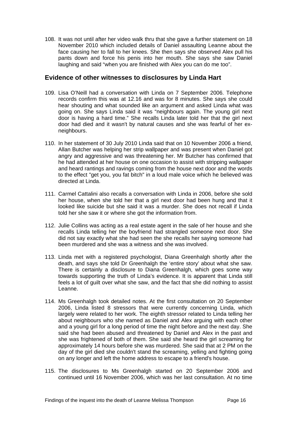<span id="page-16-0"></span>108. It was not until after her video walk thru that she gave a further statement on 18 November 2010 which included details of Daniel assaulting Leanne about the face causing her to fall to her knees. She then says she observed Alex pull his pants down and force his penis into her mouth. She says she saw Daniel laughing and said "when you are finished with Alex you can do me too".

#### **Evidence of other witnesses to disclosures by Linda Hart**

- 109. Lisa O'Neill had a conversation with Linda on 7 September 2006. Telephone records confirm this was at 12.16 and was for 8 minutes. She says she could hear shouting and what sounded like an argument and asked Linda what was going on. She says Linda said it was "neighbours again. The young girl next door is having a hard time." She recalls Linda later told her that the girl next door had died and it wasn't by natural causes and she was fearful of her exneighbours.
- 110. In her statement of 30 July 2010 Linda said that on 10 November 2006 a friend, Allan Butcher was helping her strip wallpaper and was present when Daniel got angry and aggressive and was threatening her. Mr Butcher has confirmed that he had attended at her house on one occasion to assist with stripping wallpaper and heard rantings and ravings coming from the house next door and the words to the effect "get you, you fat bitch" in a loud male voice which he believed was directed at Linda.
- 111. Carmel Cattalini also recalls a conversation with Linda in 2006, before she sold her house, when she told her that a girl next door had been hung and that it looked like suicide but she said it was a murder. She does not recall if Linda told her she saw it or where she got the information from.
- 112. Julie Collins was acting as a real estate agent in the sale of her house and she recalls Linda telling her the boyfriend had strangled someone next door. She did not say exactly what she had seen the she recalls her saying someone had been murdered and she was a witness and she was involved.
- 113. Linda met with a registered psychologist, Diana Greenhalgh shortly after the death, and says she told Dr Greenhalgh the 'entire story' about what she saw. There is certainly a disclosure to Diana Greenhalgh, which goes some way towards supporting the truth of Linda's evidence. It is apparent that Linda still feels a lot of guilt over what she saw, and the fact that she did nothing to assist Leanne.
- 114. Ms Greenhalgh took detailed notes. At the first consultation on 20 September 2006, Linda listed 8 stressors that were currently concerning Linda, which largely were related to her work. The eighth stressor related to Linda telling her about neighbours who she named as Daniel and Alex arguing with each other and a young girl for a long period of time the night before and the next day. She said she had been abused and threatened by Daniel and Alex in the past and she was frightened of both of them. She said she heard the girl screaming for approximately 14 hours before she was murdered. She said that at 2 PM on the day of the girl died she couldn't stand the screaming, yelling and fighting going on any longer and left the home address to escape to a friend's house.
- 115. The disclosures to Ms Greenhalgh started on 20 September 2006 and continued until 16 November 2006, which was her last consultation. At no time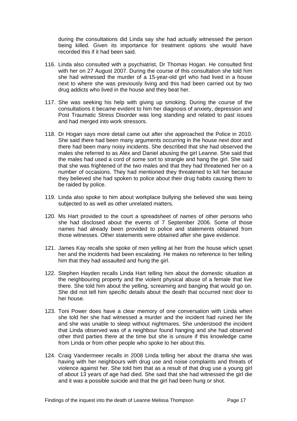during the consultations did Linda say she had actually witnessed the person being killed. Given its importance for treatment options she would have recorded this if it had been said.

- 116. Linda also consulted with a psychiatrist, Dr Thomas Hogan. He consulted first with her on 27 August 2007. During the course of this consultation she told him she had witnessed the murder of a 15-year-old girl who had lived in a house next to where she was previously living and this had been carried out by two drug addicts who lived in the house and they beat her.
- 117. She was seeking his help with giving up smoking. During the course of the consultations it became evident to him her diagnosis of anxiety, depression and Post Traumatic Stress Disorder was long standing and related to past issues and had merged into work stressors.
- 118. Dr Hogan says more detail came out after she approached the Police in 2010. She said there had been many arguments occurring in the house next door and there had been many noisy incidents. She described that she had observed the males she referred to as Alex and Daniel abusing the girl Leanne. She said that the males had used a cord of some sort to strangle and hang the girl. She said that she was frightened of the two males and that they had threatened her on a number of occasions. They had mentioned they threatened to kill her because they believed she had spoken to police about their drug habits causing them to be raided by police.
- 119. Linda also spoke to him about workplace bullying she believed she was being subjected to as well as other unrelated matters.
- 120. Ms Hart provided to the court a spreadsheet of names of other persons who she had disclosed about the events of 7 September 2006. Some of those names had already been provided to police and statements obtained from those witnesses. Other statements were obtained after she gave evidence.
- 121. James Kay recalls she spoke of men yelling at her from the house which upset her and the incidents had been escalating. He makes no reference to her telling him that they had assaulted and hung the girl.
- 122. Stephen Hayden recalls Linda Hart telling him about the domestic situation at the neighbouring property and the violent physical abuse of a female that live there. She told him about the yelling, screaming and banging that would go on. She did not tell him specific details about the death that occurred next door to her house.
- 123. Toni Power does have a clear memory of one conversation with Linda when she told her she had witnessed a murder and the incident had ruined her life and she was unable to sleep without nightmares. She understood the incident that Linda observed was of a neighbour found hanging and she had observed other third parties there at the time but she is unsure if this knowledge came from Linda or from other people who spoke to her about this.
- 124. Craig Vandermeer recalls in 2008 Linda telling her about the drama she was having with her neighbours with drug use and noise complaints and threats of violence against her. She told him that as a result of that drug use a young girl of about 13 years of age had died. She said that she had witnessed the girl die and it was a possible suicide and that the girl had been hung or shot.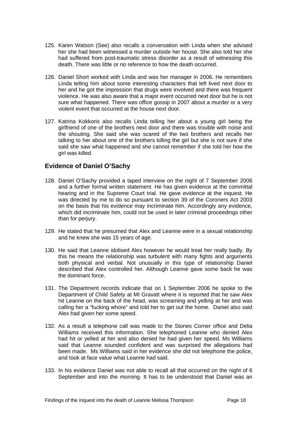- <span id="page-18-0"></span>125. Karen Watson (See) also recalls a conversation with Linda when she advised her she had been witnessed a murder outside her house. She also told her she had suffered from post-traumatic stress disorder as a result of witnessing this death. There was little or no reference to how the death occurred.
- 126. Daniel Short worked with Linda and was her manager in 2006. He remembers Linda telling him about some interesting characters that left lived next door to her and he got the impression that drugs were involved and there was frequent violence. He was also aware that a major event occurred next door but he is not sure what happened. There was office gossip in 2007 about a murder or a very violent event that occurred at the house next door.
- 127. Katrina Kokkoris also recalls Linda telling her about a young girl being the girlfriend of one of the brothers next door and there was trouble with noise and the shouting. She said she was scared of the two brothers and recalls her talking to her about one of the brothers killing the girl but she is not sure if she said she saw what happened and she cannot remember if she told her how the girl was killed.

## **Evidence of Daniel O'Sachy**

- 128. Daniel O'Sachy provided a taped interview on the night of 7 September 2006 and a further formal written statement. He has given evidence at the committal hearing and in the Supreme Court trial. He gave evidence at the inquest. He was directed by me to do so pursuant to section 39 of the Coroners Act 2003 on the basis that his evidence may incriminate him. Accordingly any evidence, which did incriminate him, could not be used in later criminal proceedings other than for perjury.
- 129. He stated that he presumed that Alex and Leanne were in a sexual relationship and he knew she was 15 years of age.
- 130. He said that Leanne idolised Alex however he would treat her really badly. By this he means the relationship was turbulent with many fights and arguments both physical and verbal. Not unusually in this type of relationship Daniel described that Alex controlled her. Although Leanne gave some back he was the dominant force.
- 131. The Department records indicate that on 1 September 2006 he spoke to the Department of Child Safety at Mt Gravatt where it is reported that he saw Alex hit Leanne on the back of the head, was screaming and yelling at her and was calling her a "fucking whore" and told her to get out the home. Daniel also said Alex had given her some speed.
- 132. As a result a telephone call was made to the Stones Corner office and Delia Williams received this information. She telephoned Leanne who denied Alex had hit or yelled at her and also denied he had given her speed. Ms Williams said that Leanne sounded confident and was surprised the allegations had been made. Ms Williams said in her evidence she did not telephone the police, and took at face value what Leanne had said.
- 133. In his evidence Daniel was not able to recall all that occurred on the night of 6 September and into the morning. It has to be understood that Daniel was an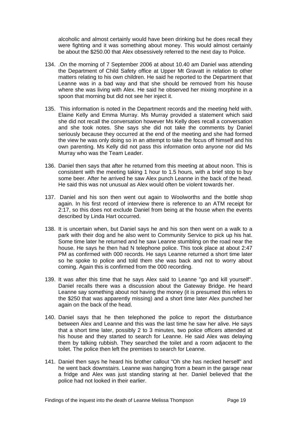alcoholic and almost certainly would have been drinking but he does recall they were fighting and it was something about money. This would almost certainly be about the \$250.00 that Alex obsessively referred to the next day to Police.

- 134. .On the morning of 7 September 2006 at about 10.40 am Daniel was attending the Department of Child Safety office at Upper Mt Gravatt in relation to other matters relating to his own children. He said he reported to the Department that Leanne was in a bad way and that she should be removed from his house where she was living with Alex. He said he observed her mixing morphine in a spoon that morning but did not see her inject it.
- 135. This information is noted in the Department records and the meeting held with. Elaine Kelly and Emma Murray. Ms Murray provided a statement which said she did not recall the conversation however Ms Kelly does recall a conversation and she took notes. She says she did not take the comments by Daniel seriously because they occurred at the end of the meeting and she had formed the view he was only doing so in an attempt to take the focus off himself and his own parenting. Ms Kelly did not pass this information onto anyone nor did Ms Murray who was the Team Leader.
- 136. Daniel then says that after he returned from this meeting at about noon. This is consistent with the meeting taking 1 hour to 1.5 hours, with a brief stop to buy some beer. After he arrived he saw Alex punch Leanne in the back of the head. He said this was not unusual as Alex would often be violent towards her.
- 137. Daniel and his son then went out again to Woolworths and the bottle shop again. In his first record of interview there is reference to an ATM receipt for 2:17, so this does not exclude Daniel from being at the house when the events described by Linda Hart occurred.
- 138. It is uncertain when, but Daniel says he and his son then went on a walk to a park with their dog and he also went to Community Service to pick up his hat. Some time later he returned and he saw Leanne stumbling on the road near the house. He says he then had N telephone police. This took place at about 2:47 PM as confirmed with 000 records. He says Leanne returned a short time later so he spoke to police and told them she was back and not to worry about coming. Again this is confirmed from the 000 recording.
- 139. It was after this time that he says Alex said to Leanne "go and kill yourself". Daniel recalls there was a discussion about the Gateway Bridge. He heard Leanne say something about not having the money (it is presumed this refers to the \$250 that was apparently missing) and a short time later Alex punched her again on the back of the head.
- 140. Daniel says that he then telephoned the police to report the disturbance between Alex and Leanne and this was the last time he saw her alive. He says that a short time later, possibly 2 to 3 minutes, two police officers attended at his house and they started to search for Leanne. He said Alex was delaying them by talking rubbish. They searched the toilet and a room adjacent to the toilet. The police then left the premises to search for Leanne.
- 141. Daniel then says he heard his brother callout "Oh she has necked herself" and he went back downstairs. Leanne was hanging from a beam in the garage near a fridge and Alex was just standing staring at her. Daniel believed that the police had not looked in their earlier.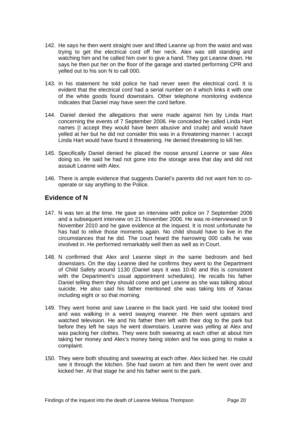- <span id="page-20-0"></span>142. He says he then went straight over and lifted Leanne up from the waist and was trying to get the electrical cord off her neck. Alex was still standing and watching him and he called him over to give a hand. They got Leanne down. He says he then put her on the floor of the garage and started performing CPR and yelled out to his son N to call 000.
- 143. In his statement he told police he had never seen the electrical cord. It is evident that the electrical cord had a serial number on it which links it with one of the white goods found downstairs. Other telephone monitoring evidence indicates that Daniel may have seen the cord before.
- 144. Daniel denied the allegations that were made against him by Linda Hart concerning the events of 7 September 2006. He conceded he called Linda Hart names (I accept they would have been abusive and crude) and would have yelled at her but he did not consider this was in a threatening manner. I accept Linda Hart would have found it threatening. He denied threatening to kill her.
- 145. Specifically Daniel denied he placed the noose around Leanne or saw Alex doing so. He said he had not gone into the storage area that day and did not assault Leanne with Alex.
- 146. There is ample evidence that suggests Daniel's parents did not want him to cooperate or say anything to the Police.

## **Evidence of N**

- 147. N was ten at the time. He gave an interview with police on 7 September 2006 and a subsequent interview on 21 November 2006. He was re-interviewed on 9 November 2010 and he gave evidence at the inquest. It is most unfortunate he has had to relive those moments again. No child should have to live in the circumstances that he did. The court heard the harrowing 000 calls he was involved in. He performed remarkably well then as well as in Court.
- 148. N confirmed that Alex and Leanne slept in the same bedroom and bed downstairs. On the day Leanne died he confirms they went to the Department of Child Safety around 1130 (Daniel says it was 10:40 and this is consistent with the Department's usual appointment schedules). He recalls his father Daniel telling them they should come and get Leanne as she was talking about suicide. He also said his father mentioned she was taking lots of Xanax including eight or so that morning.
- 149. They went home and saw Leanne in the back yard. He said she looked tired and was walking in a weird swaying manner. He then went upstairs and watched television. He and his father then left with their dog to the park but before they left he says he went downstairs. Leanne was yelling at Alex and was packing her clothes. They were both swearing at each other at about him taking her money and Alex's money being stolen and he was going to make a complaint.
- 150. They were both shouting and swearing at each other. Alex kicked her. He could see it through the kitchen. She had sworn at him and then he went over and kicked her. At that stage he and his father went to the park.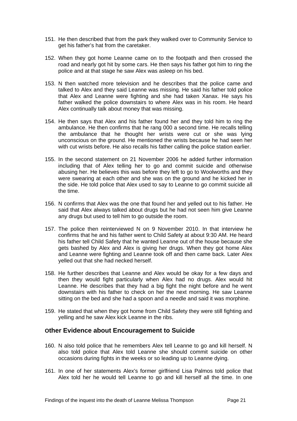- <span id="page-21-0"></span>151. He then described that from the park they walked over to Community Service to get his father's hat from the caretaker.
- 152. When they got home Leanne came on to the footpath and then crossed the road and nearly got hit by some cars. He then says his father got him to ring the police and at that stage he saw Alex was asleep on his bed.
- 153. N then watched more television and he describes that the police came and talked to Alex and they said Leanne was missing. He said his father told police that Alex and Leanne were fighting and she had taken Xanax. He says his father walked the police downstairs to where Alex was in his room. He heard Alex continually talk about money that was missing.
- 154. He then says that Alex and his father found her and they told him to ring the ambulance. He then confirms that he rang 000 a second time. He recalls telling the ambulance that he thought her wrists were cut or she was lying unconscious on the ground. He mentioned the wrists because he had seen her with cut wrists before. He also recalls his father calling the police station earlier.
- 155. In the second statement on 21 November 2006 he added further information including that of Alex telling her to go and commit suicide and otherwise abusing her. He believes this was before they left to go to Woolworths and they were swearing at each other and she was on the ground and he kicked her in the side. He told police that Alex used to say to Leanne to go commit suicide all the time.
- 156. N confirms that Alex was the one that found her and yelled out to his father. He said that Alex always talked about drugs but he had not seen him give Leanne any drugs but used to tell him to go outside the room.
- 157. The police then reinterviewed N on 9 November 2010. In that interview he confirms that he and his father went to Child Safety at about 9:30 AM. He heard his father tell Child Safety that he wanted Leanne out of the house because she gets bashed by Alex and Alex is giving her drugs. When they got home Alex and Leanne were fighting and Leanne took off and then came back. Later Alex yelled out that she had necked herself.
- 158. He further describes that Leanne and Alex would be okay for a few days and then they would fight particularly when Alex had no drugs. Alex would hit Leanne. He describes that they had a big fight the night before and he went downstairs with his father to check on her the next morning. He saw Leanne sitting on the bed and she had a spoon and a needle and said it was morphine.
- 159. He stated that when they got home from Child Safety they were still fighting and yelling and he saw Alex kick Leanne in the ribs.

## **Other Evidence about Encouragement to Suicide**

- 160. N also told police that he remembers Alex tell Leanne to go and kill herself. N also told police that Alex told Leanne she should commit suicide on other occasions during fights in the weeks or so leading up to Leanne dying.
- 161. In one of her statements Alex's former girlfriend Lisa Palmos told police that Alex told her he would tell Leanne to go and kill herself all the time. In one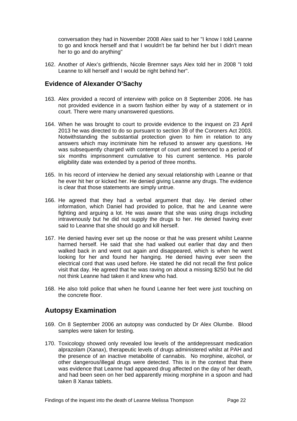<span id="page-22-0"></span>conversation they had in November 2008 Alex said to her "I know I told Leanne to go and knock herself and that I wouldn't be far behind her but I didn't mean her to go and do anything"

162. Another of Alex's girlfriends, Nicole Bremner says Alex told her in 2008 "I told Leanne to kill herself and I would be right behind her".

#### **Evidence of Alexander O'Sachy**

- 163. Alex provided a record of interview with police on 8 September 2006. He has not provided evidence in a sworn fashion either by way of a statement or in court. There were many unanswered questions.
- 164. When he was brought to court to provide evidence to the inquest on 23 April 2013 he was directed to do so pursuant to section 39 of the Coroners Act 2003. Notwithstanding the substantial protection given to him in relation to any answers which may incriminate him he refused to answer any questions. He was subsequently charged with contempt of court and sentenced to a period of six months imprisonment cumulative to his current sentence. His parole eligibility date was extended by a period of three months.
- 165. In his record of interview he denied any sexual relationship with Leanne or that he ever hit her or kicked her. He denied giving Leanne any drugs. The evidence is clear that those statements are simply untrue.
- 166. He agreed that they had a verbal argument that day. He denied other information, which Daniel had provided to police, that he and Leanne were fighting and arguing a lot. He was aware that she was using drugs including intravenously but he did not supply the drugs to her. He denied having ever said to Leanne that she should go and kill herself.
- 167. He denied having ever set up the noose or that he was present whilst Leanne harmed herself. He said that she had walked out earlier that day and then walked back in and went out again and disappeared, which is when he went looking for her and found her hanging. He denied having ever seen the electrical cord that was used before. He stated he did not recall the first police visit that day. He agreed that he was raving on about a missing \$250 but he did not think Leanne had taken it and knew who had.
- 168. He also told police that when he found Leanne her feet were just touching on the concrete floor.

## **Autopsy Examination**

- 169. On 8 September 2006 an autopsy was conducted by Dr Alex Olumbe. Blood samples were taken for testing.
- 170. Toxicology showed only revealed low levels of the antidepressant medication alprazolam (Xanax), therapeutic levels of drugs administered whilst at PAH and the presence of an inactive metabolite of cannabis. No morphine, alcohol, or other dangerous/illegal drugs were detected. This is in the context that there was evidence that Leanne had appeared drug affected on the day of her death, and had been seen on her bed apparently mixing morphine in a spoon and had taken 8 Xanax tablets.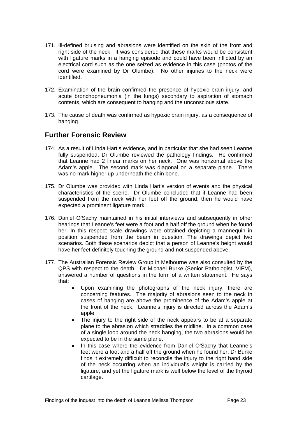- <span id="page-23-0"></span>171. Ill-defined bruising and abrasions were identified on the skin of the front and right side of the neck. It was considered that these marks would be consistent with ligature marks in a hanging episode and could have been inflicted by an electrical cord such as the one seized as evidence in this case (photos of the cord were examined by Dr Olumbe). No other injuries to the neck were identified.
- 172. Examination of the brain confirmed the presence of hypoxic brain injury, and acute bronchopneumonia (in the lungs) secondary to aspiration of stomach contents, which are consequent to hanging and the unconscious state.
- 173. The cause of death was confirmed as hypoxic brain injury, as a consequence of hanging.

# **Further Forensic Review**

- 174. As a result of Linda Hart's evidence, and in particular that she had seen Leanne fully suspended, Dr Olumbe reviewed the pathology findings. He confirmed that Leanne had 2 linear marks on her neck. One was horizontal above the Adam's apple. The second mark was diagonal on a separate plane. There was no mark higher up underneath the chin bone.
- 175. Dr Olumbe was provided with Linda Hart's version of events and the physical characteristics of the scene. Dr Olumbe concluded that if Leanne had been suspended from the neck with her feet off the ground, then he would have expected a prominent ligature mark.
- 176. Daniel O'Sachy maintained in his initial interviews and subsequently in other hearings that Leanne's feet were a foot and a half off the ground when he found her. In this respect scale drawings were obtained depicting a mannequin in position suspended from the beam in question. The drawings depict two scenarios. Both these scenarios depict that a person of Leanne's height would have her feet definitely touching the ground and not suspended above.
- 177. The Australian Forensic Review Group in Melbourne was also consulted by the QPS with respect to the death. Dr Michael Burke (Senior Pathologist, VIFM), answered a number of questions in the form of a written statement. He says that:
	- Upon examining the photographs of the neck injury, there are concerning features. The majority of abrasions seen to the neck in cases of hanging are above the prominence of the Adam's apple at the front of the neck. Leanne's injury is directed across the Adam's apple.
	- The injury to the right side of the neck appears to be at a separate plane to the abrasion which straddles the midline. In a common case of a single loop around the neck hanging, the two abrasions would be expected to be in the same plane.
	- In this case where the evidence from Daniel O'Sachy that Leanne's feet were a foot and a half off the ground when he found her, Dr Burke finds it extremely difficult to reconcile the injury to the right hand side of the neck occurring when an individual's weight is carried by the ligature, and yet the ligature mark is well below the level of the thyroid cartilage.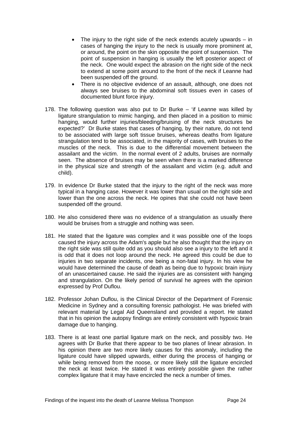- The injury to the right side of the neck extends acutely upwards  $-$  in cases of hanging the injury to the neck is usually more prominent at, or around, the point on the skin opposite the point of suspension. The point of suspension in hanging is usually the left posterior aspect of the neck. One would expect the abrasion on the right side of the neck to extend at some point around to the front of the neck if Leanne had been suspended off the ground.
- There is no objective evidence of an assault, although, one does not always see bruises to the abdominal soft tissues even in cases of documented blunt force injury.
- 178. The following question was also put to Dr Burke 'if Leanne was killed by ligature strangulation to mimic hanging, and then placed in a position to mimic hanging, would further injuries/bleeding/bruising of the neck structures be expected?' Dr Burke states that cases of hanging, by their nature, do not tend to be associated with large soft tissue bruises, whereas deaths from ligature strangulation tend to be associated, in the majority of cases, with bruises to the muscles of the neck. This is due to the differential movement between the assailant and the victim. In the normal event of 2 adults, bruises are normally seen. The absence of bruises may be seen when there is a marked difference in the physical size and strength of the assailant and victim (e.g. adult and child).
- 179. In evidence Dr Burke stated that the injury to the right of the neck was more typical in a hanging case. However it was lower than usual on the right side and lower than the one across the neck. He opines that she could not have been suspended off the ground.
- 180. He also considered there was no evidence of a strangulation as usually there would be bruises from a struggle and nothing was seen.
- 181. He stated that the ligature was complex and it was possible one of the loops caused the injury across the Adam's apple but he also thought that the injury on the right side was still quite odd as you should also see a injury to the left and it is odd that it does not loop around the neck. He agreed this could be due to injuries in two separate incidents, one being a non-fatal injury. In his view he would have determined the cause of death as being due to hypoxic brain injury of an unascertained cause. He said the injuries are as consistent with hanging and strangulation. On the likely period of survival he agrees with the opinion expressed by Prof Duflou.
- 182. Professor Johan Duflou, is the Clinical Director of the Department of Forensic Medicine in Sydney and a consulting forensic pathologist. He was briefed with relevant material by Legal Aid Queensland and provided a report. He stated that in his opinion the autopsy findings are entirely consistent with hypoxic brain damage due to hanging.
- 183. There is at least one partial ligature mark on the neck, and possibly two. He agrees with Dr Burke that there appear to be two planes of linear abrasion. In his opinion there are two more likely causes for this anomaly, including the ligature could have slipped upwards, either during the process of hanging or while being removed from the noose, or more likely still the ligature encircled the neck at least twice. He stated it was entirely possible given the rather complex ligature that it may have encircled the neck a number of times.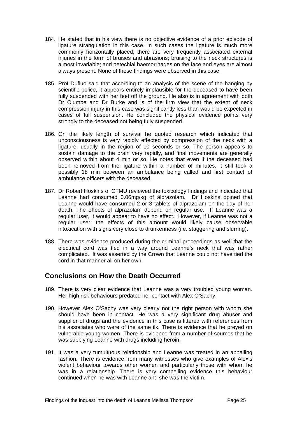- <span id="page-25-0"></span>184. He stated that in his view there is no objective evidence of a prior episode of ligature strangulation in this case. In such cases the ligature is much more commonly horizontally placed; there are very frequently associated external injuries in the form of bruises and abrasions; bruising to the neck structures is almost invariable; and petechial haemorrhages on the face and eyes are almost always present. None of these findings were observed in this case.
- 185. Prof Dufluo said that according to an analysis of the scene of the hanging by scientific police, it appears entirely implausible for the deceased to have been fully suspended with her feet off the ground. He also is in agreement with both Dr Olumbe and Dr Burke and is of the firm view that the extent of neck compression injury in this case was significantly less than would be expected in cases of full suspension. He concluded the physical evidence points very strongly to the deceased not being fully suspended.
- 186. On the likely length of survival he quoted research which indicated that unconsciousness is very rapidly effected by compression of the neck with a ligature, usually in the region of 10 seconds or so. The person appears to sustain damage to the brain very rapidly, and final movements are generally observed within about 4 min or so. He notes that even if the deceased had been removed from the ligature within a number of minutes, it still took a possibly 18 min between an ambulance being called and first contact of ambulance officers with the deceased.
- 187. Dr Robert Hoskins of CFMU reviewed the toxicology findings and indicated that Leanne had consumed 0.06mg/kg of alprazolam. Dr Hoskins opined that Leanne would have consumed 2 or 3 tablets of alprazolam on the day of her death. The effects of alprazolam depend on regular use. If Leanne was a regular user, it would appear to have no effect. However, if Leanne was not a regular user, the effects of this amount would likely cause observable intoxication with signs very close to drunkenness (i.e. staggering and slurring).
- 188. There was evidence produced during the criminal proceedings as well that the electrical cord was tied in a way around Leanne's neck that was rather complicated. It was asserted by the Crown that Leanne could not have tied the cord in that manner all on her own.

# **Conclusions on How the Death Occurred**

- 189. There is very clear evidence that Leanne was a very troubled young woman. Her high risk behaviours predated her contact with Alex O'Sachy.
- 190. However Alex O'Sachy was very clearly not the right person with whom she should have been in contact. He was a very significant drug abuser and supplier of drugs and the evidence in this case is littered with references from his associates who were of the same ilk. There is evidence that he preyed on vulnerable young women. There is evidence from a number of sources that he was supplying Leanne with drugs including heroin.
- 191. It was a very tumultuous relationship and Leanne was treated in an appalling fashion. There is evidence from many witnesses who give examples of Alex's violent behaviour towards other women and particularly those with whom he was in a relationship. There is very compelling evidence this behaviour continued when he was with Leanne and she was the victim.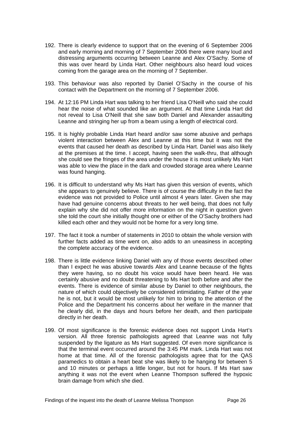- 192. There is clearly evidence to support that on the evening of 6 September 2006 and early morning and morning of 7 September 2006 there were many loud and distressing arguments occurring between Leanne and Alex O'Sachy. Some of this was over heard by Linda Hart. Other neighbours also heard loud voices coming from the garage area on the morning of 7 September.
- 193. This behaviour was also reported by Daniel O'Sachy in the course of his contact with the Department on the morning of 7 September 2006.
- 194. At 12:16 PM Linda Hart was talking to her friend Lisa O'Neill who said she could hear the noise of what sounded like an argument. At that time Linda Hart did not reveal to Lisa O'Neill that she saw both Daniel and Alexander assaulting Leanne and stringing her up from a beam using a length of electrical cord.
- 195. It is highly probable Linda Hart heard and/or saw some abusive and perhaps violent interaction between Alex and Leanne at this time but it was not the events that caused her death as described by Linda Hart. Daniel was also likely at the premises at the time. I accept, having seen the walk-thru, that although she could see the fringes of the area under the house it is most unlikely Ms Hart was able to view the place in the dark and crowded storage area where Leanne was found hanging.
- 196. It is difficult to understand why Ms Hart has given this version of events, which she appears to genuinely believe. There is of course the difficulty in the fact the evidence was not provided to Police until almost 4 years later. Given she may have had genuine concerns about threats to her well being, that does not fully explain why she did not offer more information on the night in question given she told the court she initially thought one or either of the O'Sachy brothers had killed each other and they would not be home for a very long time.
- 197. The fact it took a number of statements in 2010 to obtain the whole version with further facts added as time went on, also adds to an uneasiness in accepting the complete accuracy of the evidence.
- 198. There is little evidence linking Daniel with any of those events described other than I expect he was abusive towards Alex and Leanne because of the fights they were having, so no doubt his voice would have been heard. He was certainly abusive and no doubt threatening to Ms Hart both before and after the events. There is evidence of similar abuse by Daniel to other neighbours, the nature of which could objectively be considered intimidating. Father of the year he is not, but it would be most unlikely for him to bring to the attention of the Police and the Department his concerns about her welfare in the manner that he clearly did, in the days and hours before her death, and then participate directly in her death.
- 199. Of most significance is the forensic evidence does not support Linda Hart's version. All three forensic pathologists agreed that Leanne was not fully suspended by the ligature as Ms Hart suggested. Of even more significance is that the terminal event occurred around the 3:45 PM mark. Linda Hart was not home at that time. All of the forensic pathologists agree that for the QAS paramedics to obtain a heart beat she was likely to be hanging for between 5 and 10 minutes or perhaps a little longer, but not for hours. If Ms Hart saw anything it was not the event when Leanne Thompson suffered the hypoxic brain damage from which she died.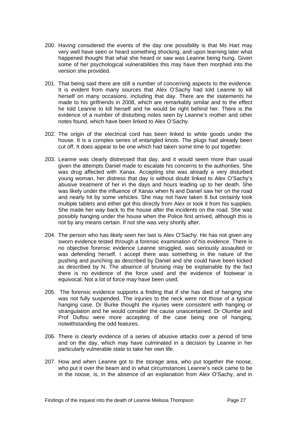- 200. Having considered the events of the day one possibility is that Ms Hart may very well have seen or heard something shocking, and upon learning later what happened thought that what she heard or saw was Leanne being hung. Given some of her psychological vulnerabilities this may have then morphed into the version she provided.
- 201. That being said there are still a number of concerning aspects to the evidence. It is evident from many sources that Alex O'Sachy had told Leanne to kill herself on many occasions, including that day. There are the statements he made to his girlfriends in 2008, which are remarkably similar and to the effect he told Leanne to kill herself and he would be right behind her. There is the evidence of a number of disturbing notes seen by Leanne's mother and other notes found, which have been linked to Alex O'Sachy.
- 202. The origin of the electrical cord has been linked to white goods under the house. It is a complex series of entangled knots. The plugs had already been cut off. It does appear to be one which had taken some time to put together.
- 203. Leanne was clearly distressed that day, and it would seem more than usual given the attempts Daniel made to escalate his concerns to the authorities. She was drug affected with Xanax. Accepting she was already a very disturbed young woman, her distress that day is without doubt linked to Alex O'Sachy's abusive treatment of her in the days and hours leading up to her death. She was likely under the influence of Xanax when N and Daniel saw her on the road and nearly hit by some vehicles. She may not have taken 8 but certainly took multiple tablets and either got this directly from Alex or took it from his supplies. She made her way back to the house after the incidents on the road. She was possibly hanging under the house when the Police first arrived, although this is not by any means certain. If not she was very shortly after.
- 204. The person who has likely seen her last is Alex O'Sachy. He has not given any sworn evidence tested through a forensic examination of his evidence. There is no objective forensic evidence Leanne struggled, was seriously assaulted or was defending herself. I accept there was something in the nature of the pushing and punching as described by Daniel and she could have been kicked as described by N. The absence of bruising may be explainable by the fact there is no evidence of the force used and the evidence of footwear is equivocal. Not a lot of force may have been used.
- 205. The forensic evidence supports a finding that if she has died of hanging she was not fully suspended. The injuries to the neck were not those of a typical hanging case. Dr Burke thought the injuries were consistent with hanging or strangulation and he would consider the cause unascertained. Dr Olumbe and Prof Duflou were more accepting of the case being one of hanging, notwithstanding the odd features.
- 206. There is clearly evidence of a series of abusive attacks over a period of time and on the day, which may have culminated in a decision by Leanne in her particularly vulnerable state to take her own life.
- 207. How and when Leanne got to the storage area, who put together the noose, who put it over the beam and in what circumstances Leanne's neck came to be in the noose, is, in the absence of an explanation from Alex O'Sachy, and in